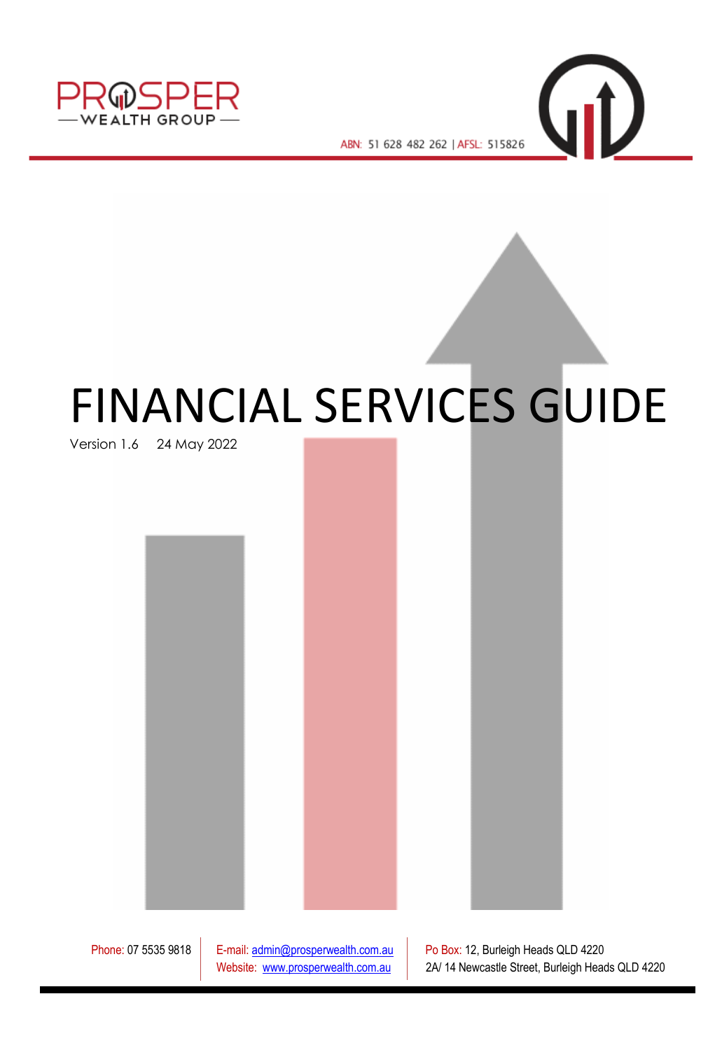

ABN: 51 628 482 262 | AFSL: 515826

 $\n *Q*\n$ 

# FINANCIAL SERVICES GUIDE

Version 1.6 24 May 2022

Phone: 07 5535 9818 | E-mail[: admin@prosperwealth.com.au](mailto:admin@prosperwealth.com.au) | Po Box: 12, Burleigh Heads QLD 4220 Website: [www.prosperwealth.com.au](http://www.prosperwealth.com.au/) | 2A/ 14 Newcastle Street, Burleigh Heads QLD 4220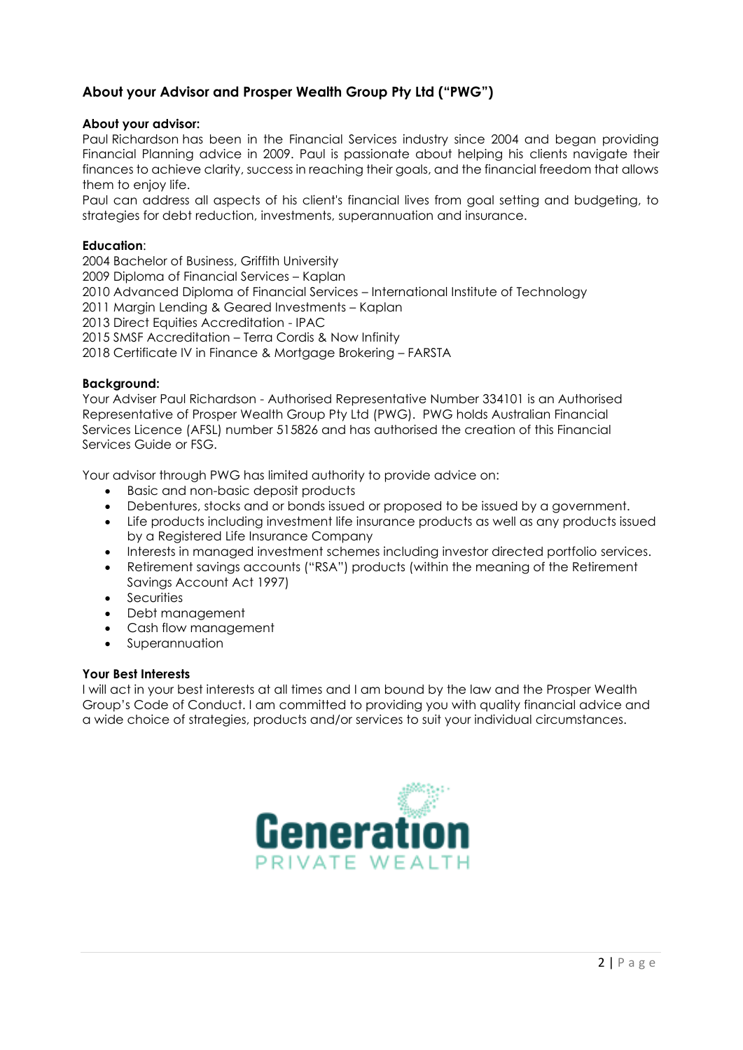# **About your Advisor and Prosper Wealth Group Pty Ltd ("PWG")**

# **About your advisor:**

Paul Richardson has been in the Financial Services industry since 2004 and began providing Financial Planning advice in 2009. Paul is passionate about helping his clients navigate their finances to achieve clarity, success in reaching their goals, and the financial freedom that allows them to enjoy life.

Paul can address all aspects of his client's financial lives from goal setting and budgeting, to strategies for debt reduction, investments, superannuation and insurance.

# **Education**:

2004 Bachelor of Business, Griffith University 2009 Diploma of Financial Services – Kaplan 2010 Advanced Diploma of Financial Services – International Institute of Technology 2011 Margin Lending & Geared Investments – Kaplan 2013 Direct Equities Accreditation - IPAC 2015 SMSF Accreditation – Terra Cordis & Now Infinity 2018 Certificate IV in Finance & Mortgage Brokering – FARSTA

# **Background:**

Your Adviser Paul Richardson - Authorised Representative Number 334101 is an Authorised Representative of Prosper Wealth Group Pty Ltd (PWG). PWG holds Australian Financial Services Licence (AFSL) number 515826 and has authorised the creation of this Financial Services Guide or FSG.

Your advisor through PWG has limited authority to provide advice on:

- Basic and non-basic deposit products
- Debentures, stocks and or bonds issued or proposed to be issued by a government.
- Life products including investment life insurance products as well as any products issued by a Registered Life Insurance Company
- Interests in managed investment schemes including investor directed portfolio services.
- Retirement savings accounts ("RSA") products (within the meaning of the Retirement Savings Account Act 1997)
- **Securities**
- Debt management
- Cash flow management
- **Superannuation**

# **Your Best Interests**

I will act in your best interests at all times and I am bound by the law and the Prosper Wealth Group's Code of Conduct. I am committed to providing you with quality financial advice and a wide choice of strategies, products and/or services to suit your individual circumstances.

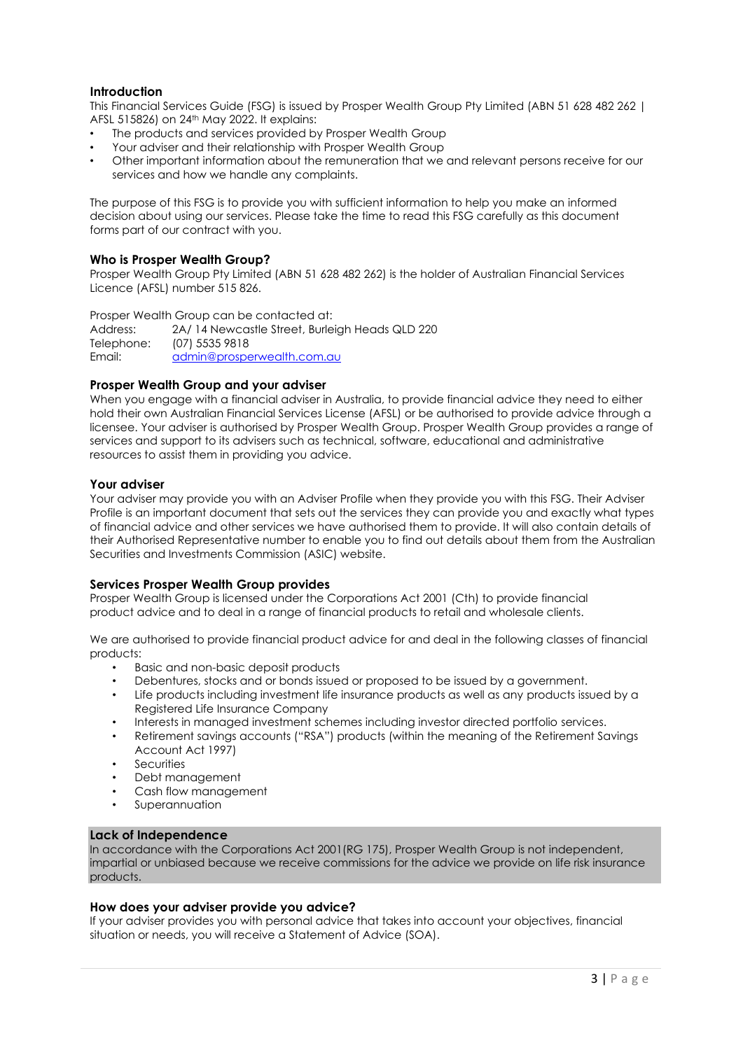## **Introduction**

This Financial Services Guide (FSG) is issued by Prosper Wealth Group Pty Limited (ABN 51 628 482 262 | AFSL 515826) on 24th May 2022. It explains:

- The products and services provided by Prosper Wealth Group
- Your adviser and their relationship with Prosper Wealth Group
- Other important information about the remuneration that we and relevant persons receive for our services and how we handle any complaints.

The purpose of this FSG is to provide you with sufficient information to help you make an informed decision about using our services. Please take the time to read this FSG carefully as this document forms part of our contract with you.

#### **Who is Prosper Wealth Group?**

Prosper Wealth Group Pty Limited (ABN 51 628 482 262) is the holder of Australian Financial Services Licence (AFSL) number 515 826.

Prosper Wealth Group can be contacted at: Address: 2A/ 14 Newcastle Street, Burleigh Heads QLD 220

Telephone: (07) 5535 9818 Email: [admin@prosperwealth.com.au](mailto:admin@prosperwealth.com.au)

#### **Prosper Wealth Group and your adviser**

When you engage with a financial adviser in Australia, to provide financial advice they need to either hold their own Australian Financial Services License (AFSL) or be authorised to provide advice through a licensee. Your adviser is authorised by Prosper Wealth Group. Prosper Wealth Group provides a range of services and support to its advisers such as technical, software, educational and administrative resources to assist them in providing you advice.

#### **Your adviser**

Your adviser may provide you with an Adviser Profile when they provide you with this FSG. Their Adviser Profile is an important document that sets out the services they can provide you and exactly what types of financial advice and other services we have authorised them to provide. It will also contain details of their Authorised Representative number to enable you to find out details about them from the Australian Securities and Investments Commission (ASIC) website.

#### **Services Prosper Wealth Group provides**

Prosper Wealth Group is licensed under the Corporations Act 2001 (Cth) to provide financial product advice and to deal in a range of financial products to retail and wholesale clients.

We are authorised to provide financial product advice for and deal in the following classes of financial products:

- Basic and non-basic deposit products
- Debentures, stocks and or bonds issued or proposed to be issued by a government.
- Life products including investment life insurance products as well as any products issued by a Registered Life Insurance Company
- Interests in managed investment schemes including investor directed portfolio services.
- Retirement savings accounts ("RSA") products (within the meaning of the Retirement Savings Account Act 1997)
- **Securities**
- Debt management
- Cash flow management
- **Superannuation**

#### **Lack of Independence**

In accordance with the Corporations Act 2001(RG 175), Prosper Wealth Group is not independent, impartial or unbiased because we receive commissions for the advice we provide on life risk insurance products.

#### **How does your adviser provide you advice?**

If your adviser provides you with personal advice that takes into account your objectives, financial situation or needs, you will receive a Statement of Advice (SOA).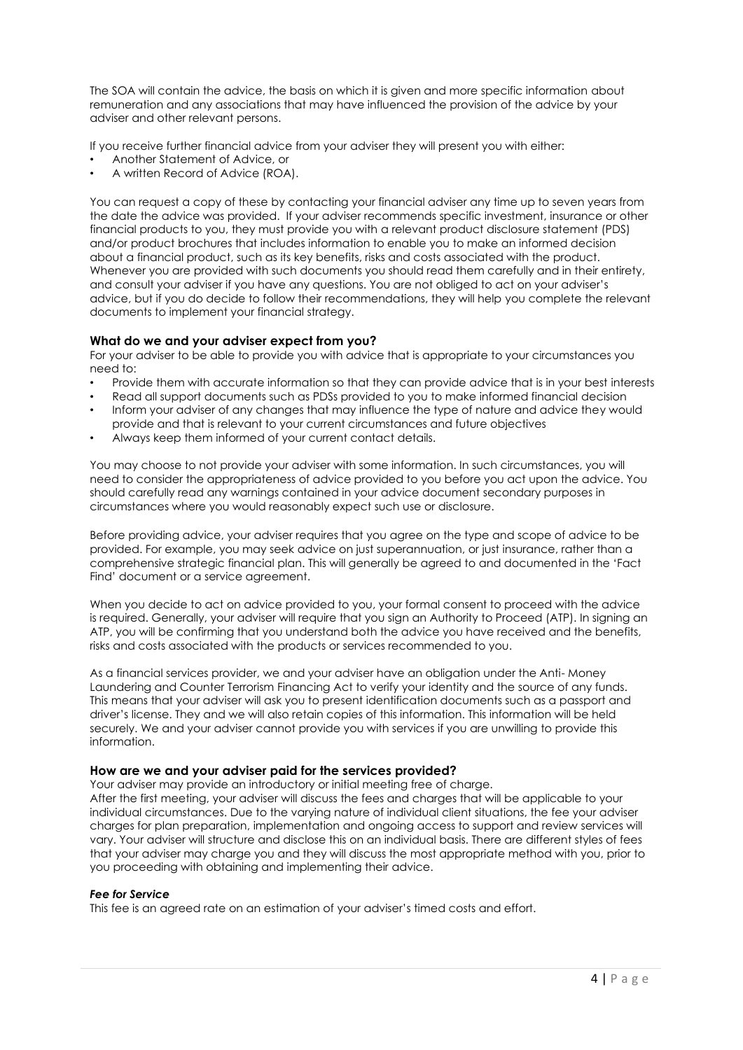The SOA will contain the advice, the basis on which it is given and more specific information about remuneration and any associations that may have influenced the provision of the advice by your adviser and other relevant persons.

If you receive further financial advice from your adviser they will present you with either:

- Another Statement of Advice, or
- A written Record of Advice (ROA).

You can request a copy of these by contacting your financial adviser any time up to seven years from the date the advice was provided. If your adviser recommends specific investment, insurance or other financial products to you, they must provide you with a relevant product disclosure statement (PDS) and/or product brochures that includes information to enable you to make an informed decision about a financial product, such as its key benefits, risks and costs associated with the product. Whenever you are provided with such documents you should read them carefully and in their entirety, and consult your adviser if you have any questions. You are not obliged to act on your adviser's advice, but if you do decide to follow their recommendations, they will help you complete the relevant documents to implement your financial strategy.

# **What do we and your adviser expect from you?**

For your adviser to be able to provide you with advice that is appropriate to your circumstances you need to:

- Provide them with accurate information so that they can provide advice that is in your best interests
- Read all support documents such as PDSs provided to you to make informed financial decision
- Inform your adviser of any changes that may influence the type of nature and advice they would provide and that is relevant to your current circumstances and future objectives
- Always keep them informed of your current contact details.

You may choose to not provide your adviser with some information. In such circumstances, you will need to consider the appropriateness of advice provided to you before you act upon the advice. You should carefully read any warnings contained in your advice document secondary purposes in circumstances where you would reasonably expect such use or disclosure.

Before providing advice, your adviser requires that you agree on the type and scope of advice to be provided. For example, you may seek advice on just superannuation, or just insurance, rather than a comprehensive strategic financial plan. This will generally be agreed to and documented in the 'Fact Find' document or a service agreement.

When you decide to act on advice provided to you, your formal consent to proceed with the advice is required. Generally, your adviser will require that you sign an Authority to Proceed (ATP). In signing an ATP, you will be confirming that you understand both the advice you have received and the benefits, risks and costs associated with the products or services recommended to you.

As a financial services provider, we and your adviser have an obligation under the Anti- Money Laundering and Counter Terrorism Financing Act to verify your identity and the source of any funds. This means that your adviser will ask you to present identification documents such as a passport and driver's license. They and we will also retain copies of this information. This information will be held securely. We and your adviser cannot provide you with services if you are unwilling to provide this information.

# **How are we and your adviser paid for the services provided?**

Your adviser may provide an introductory or initial meeting free of charge. After the first meeting, your adviser will discuss the fees and charges that will be applicable to your individual circumstances. Due to the varying nature of individual client situations, the fee your adviser charges for plan preparation, implementation and ongoing access to support and review services will vary. Your adviser will structure and disclose this on an individual basis. There are different styles of fees that your adviser may charge you and they will discuss the most appropriate method with you, prior to you proceeding with obtaining and implementing their advice.

#### *Fee for Service*

This fee is an agreed rate on an estimation of your adviser's timed costs and effort.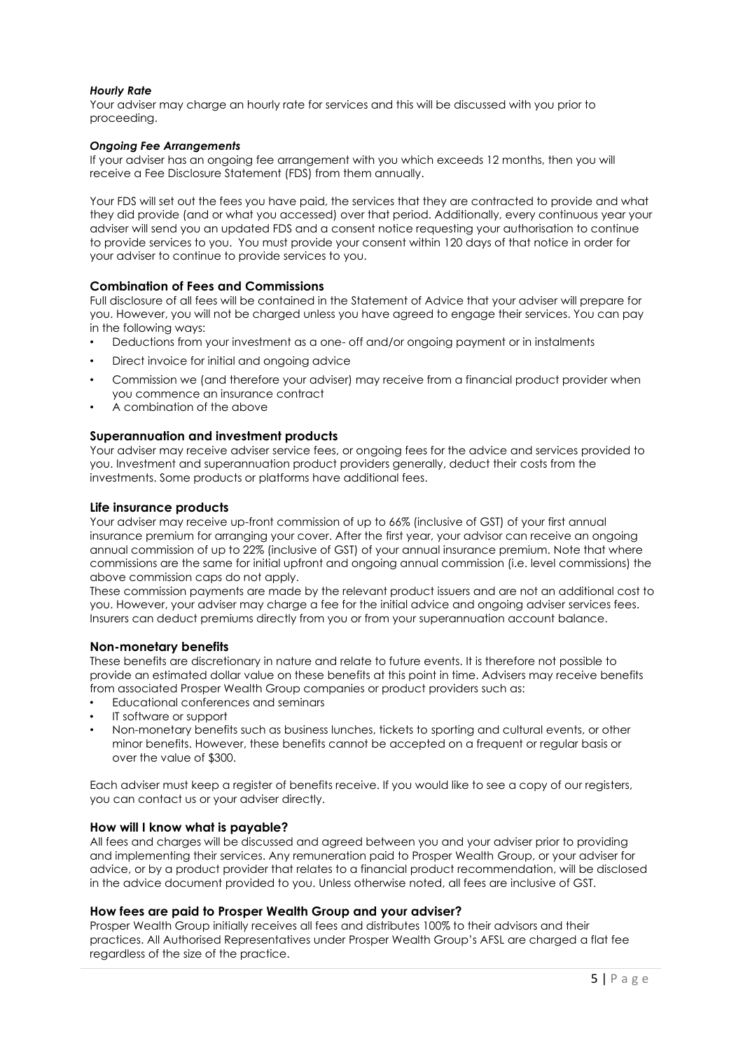#### *Hourly Rate*

Your adviser may charge an hourly rate for services and this will be discussed with you prior to proceeding.

#### *Ongoing Fee Arrangements*

If your adviser has an ongoing fee arrangement with you which exceeds 12 months, then you will receive a Fee Disclosure Statement (FDS) from them annually.

Your FDS will set out the fees you have paid, the services that they are contracted to provide and what they did provide (and or what you accessed) over that period. Additionally, every continuous year your adviser will send you an updated FDS and a consent notice requesting your authorisation to continue to provide services to you. You must provide your consent within 120 days of that notice in order for your adviser to continue to provide services to you.

#### **Combination of Fees and Commissions**

Full disclosure of all fees will be contained in the Statement of Advice that your adviser will prepare for you. However, you will not be charged unless you have agreed to engage their services. You can pay in the following ways:

- Deductions from your investment as a one- off and/or ongoing payment or in instalments
- Direct invoice for initial and ongoing advice
- Commission we (and therefore your adviser) may receive from a financial product provider when you commence an insurance contract
- A combination of the above

#### **Superannuation and investment products**

Your adviser may receive adviser service fees, or ongoing fees for the advice and services provided to you. Investment and superannuation product providers generally, deduct their costs from the investments. Some products or platforms have additional fees.

#### **Life insurance products**

Your adviser may receive up-front commission of up to 66% (inclusive of GST) of your first annual insurance premium for arranging your cover. After the first year, your advisor can receive an ongoing annual commission of up to 22% (inclusive of GST) of your annual insurance premium. Note that where commissions are the same for initial upfront and ongoing annual commission (i.e. level commissions) the above commission caps do not apply.

These commission payments are made by the relevant product issuers and are not an additional cost to you. However, your adviser may charge a fee for the initial advice and ongoing adviser services fees. Insurers can deduct premiums directly from you or from your superannuation account balance.

#### **Non-monetary benefits**

These benefits are discretionary in nature and relate to future events. It is therefore not possible to provide an estimated dollar value on these benefits at this point in time. Advisers may receive benefits from associated Prosper Wealth Group companies or product providers such as:

- Educational conferences and seminars
- IT software or support
- Non-monetary benefits such as business lunches, tickets to sporting and cultural events, or other minor benefits. However, these benefits cannot be accepted on a frequent or regular basis or over the value of \$300.

Each adviser must keep a register of benefits receive. If you would like to see a copy of our registers, you can contact us or your adviser directly.

#### **How will I know what is payable?**

All fees and charges will be discussed and agreed between you and your adviser prior to providing and implementing their services. Any remuneration paid to Prosper Wealth Group, or your adviser for advice, or by a product provider that relates to a financial product recommendation, will be disclosed in the advice document provided to you. Unless otherwise noted, all fees are inclusive of GST.

#### **How fees are paid to Prosper Wealth Group and your adviser?**

Prosper Wealth Group initially receives all fees and distributes 100% to their advisors and their practices. All Authorised Representatives under Prosper Wealth Group's AFSL are charged a flat fee regardless of the size of the practice.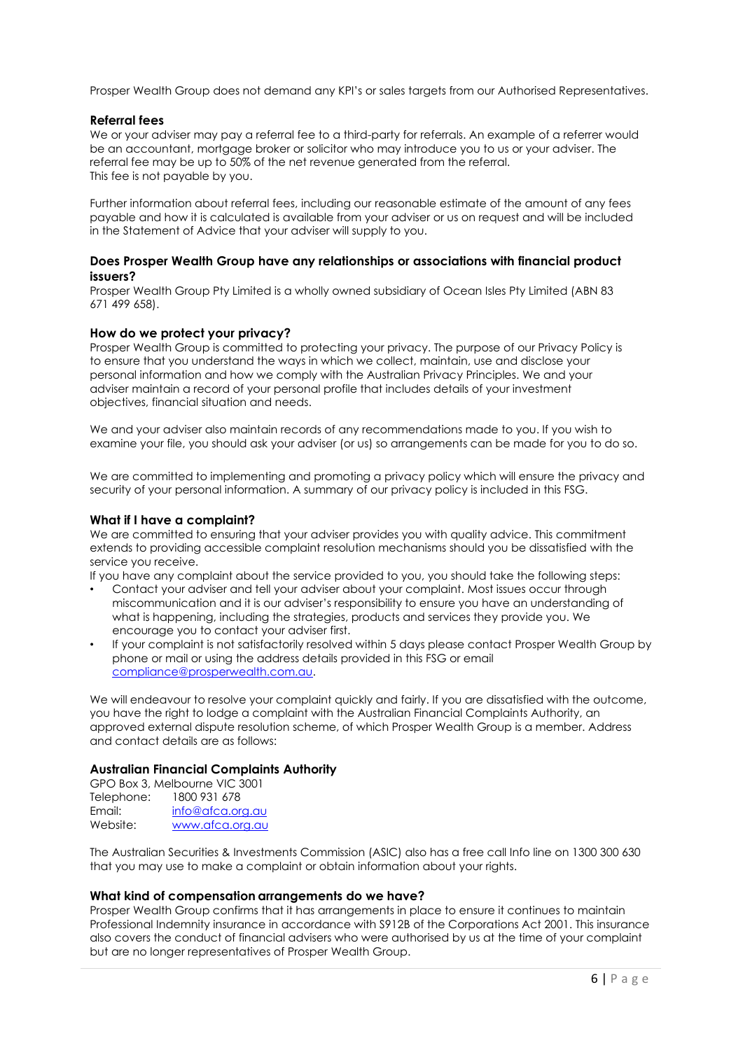Prosper Wealth Group does not demand any KPI's or sales targets from our Authorised Representatives.

## **Referral fees**

We or your adviser may pay a referral fee to a third-party for referrals. An example of a referrer would be an accountant, mortgage broker or solicitor who may introduce you to us or your adviser. The referral fee may be up to 50% of the net revenue generated from the referral. This fee is not payable by you.

Further information about referral fees, including our reasonable estimate of the amount of any fees payable and how it is calculated is available from your adviser or us on request and will be included in the Statement of Advice that your adviser will supply to you.

#### **Does Prosper Wealth Group have any relationships or associations with financial product issuers?**

Prosper Wealth Group Pty Limited is a wholly owned subsidiary of Ocean Isles Pty Limited (ABN 83 671 499 658).

#### **How do we protect your privacy?**

Prosper Wealth Group is committed to protecting your privacy. The purpose of our Privacy Policy is to ensure that you understand the ways in which we collect, maintain, use and disclose your personal information and how we comply with the Australian Privacy Principles. We and your adviser maintain a record of your personal profile that includes details of your investment objectives, financial situation and needs.

We and your adviser also maintain records of any recommendations made to you. If you wish to examine your file, you should ask your adviser (or us) so arrangements can be made for you to do so.

We are committed to implementing and promoting a privacy policy which will ensure the privacy and security of your personal information. A summary of our privacy policy is included in this FSG.

#### **What if I have a complaint?**

We are committed to ensuring that your adviser provides you with quality advice. This commitment extends to providing accessible complaint resolution mechanisms should you be dissatisfied with the service you receive.

If you have any complaint about the service provided to you, you should take the following steps:

- Contact your adviser and tell your adviser about your complaint. Most issues occur through miscommunication and it is our adviser's responsibility to ensure you have an understanding of what is happening, including the strategies, products and services they provide you. We encourage you to contact your adviser first.
- If your complaint is not satisfactorily resolved within 5 days please contact Prosper Wealth Group by phone or mail or using the address details provided in this FSG or email [compliance@prosperwealth.com.au.](mailto:compliance@prosperwealth.com.au)

We will endeavour to resolve your complaint quickly and fairly. If you are dissatisfied with the outcome, you have the right to lodge a complaint with the Australian Financial Complaints Authority, an approved external dispute resolution scheme, of which Prosper Wealth Group is a member. Address and contact details are as follows:

#### **Australian Financial Complaints Authority**

|            | GPO Box 3, Melbourne VIC 3001 |
|------------|-------------------------------|
| Telephone: | 1800 931 678                  |
| Email:     | info@afca.org.au              |
| Website:   | www.afca.org.au               |

The Australian Securities & Investments Commission (ASIC) also has a free call Info line on 1300 300 630 that you may use to make a complaint or obtain information about your rights.

#### **What kind of compensation arrangements do we have?**

Prosper Wealth Group confirms that it has arrangements in place to ensure it continues to maintain Professional Indemnity insurance in accordance with S912B of the Corporations Act 2001. This insurance also covers the conduct of financial advisers who were authorised by us at the time of your complaint but are no longer representatives of Prosper Wealth Group.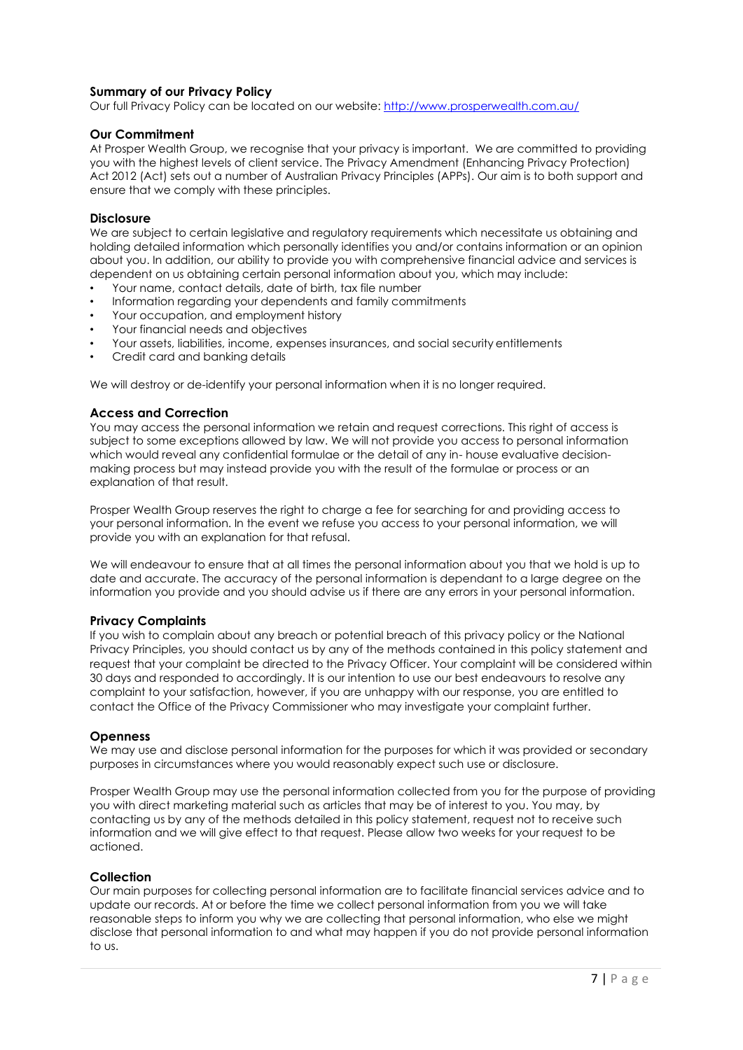# **Summary of our Privacy Policy**

Our full Privacy Policy can be located on our website[: http://www.prosperwealth.com.au/](http://www.prosperwealth.com.au/)

#### **Our Commitment**

At Prosper Wealth Group, we recognise that your privacy is important. We are committed to providing you with the highest levels of client service. The Privacy Amendment (Enhancing Privacy Protection) Act 2012 (Act) sets out a number of Australian Privacy Principles (APPs). Our aim is to both support and ensure that we comply with these principles.

#### **Disclosure**

We are subject to certain legislative and regulatory requirements which necessitate us obtaining and holding detailed information which personally identifies you and/or contains information or an opinion about you. In addition, our ability to provide you with comprehensive financial advice and services is dependent on us obtaining certain personal information about you, which may include:

- Your name, contact details, date of birth, tax file number
- Information regarding your dependents and family commitments
- Your occupation, and employment history
- Your financial needs and objectives
- Your assets, liabilities, income, expenses insurances, and social security entitlements
- Credit card and banking details

We will destroy or de-identify your personal information when it is no longer required.

#### **Access and Correction**

You may access the personal information we retain and request corrections. This right of access is subject to some exceptions allowed by law. We will not provide you access to personal information which would reveal any confidential formulae or the detail of any in- house evaluative decisionmaking process but may instead provide you with the result of the formulae or process or an explanation of that result.

Prosper Wealth Group reserves the right to charge a fee for searching for and providing access to your personal information. In the event we refuse you access to your personal information, we will provide you with an explanation for that refusal.

We will endeavour to ensure that at all times the personal information about you that we hold is up to date and accurate. The accuracy of the personal information is dependant to a large degree on the information you provide and you should advise us if there are any errors in your personal information.

#### **Privacy Complaints**

If you wish to complain about any breach or potential breach of this privacy policy or the National Privacy Principles, you should contact us by any of the methods contained in this policy statement and request that your complaint be directed to the Privacy Officer. Your complaint will be considered within 30 days and responded to accordingly. It is our intention to use our best endeavours to resolve any complaint to your satisfaction, however, if you are unhappy with our response, you are entitled to contact the Office of the Privacy Commissioner who may investigate your complaint further.

#### **Openness**

We may use and disclose personal information for the purposes for which it was provided or secondary purposes in circumstances where you would reasonably expect such use or disclosure.

Prosper Wealth Group may use the personal information collected from you for the purpose of providing you with direct marketing material such as articles that may be of interest to you. You may, by contacting us by any of the methods detailed in this policy statement, request not to receive such information and we will give effect to that request. Please allow two weeks for your request to be actioned.

#### **Collection**

Our main purposes for collecting personal information are to facilitate financial services advice and to update our records. At or before the time we collect personal information from you we will take reasonable steps to inform you why we are collecting that personal information, who else we might disclose that personal information to and what may happen if you do not provide personal information to us.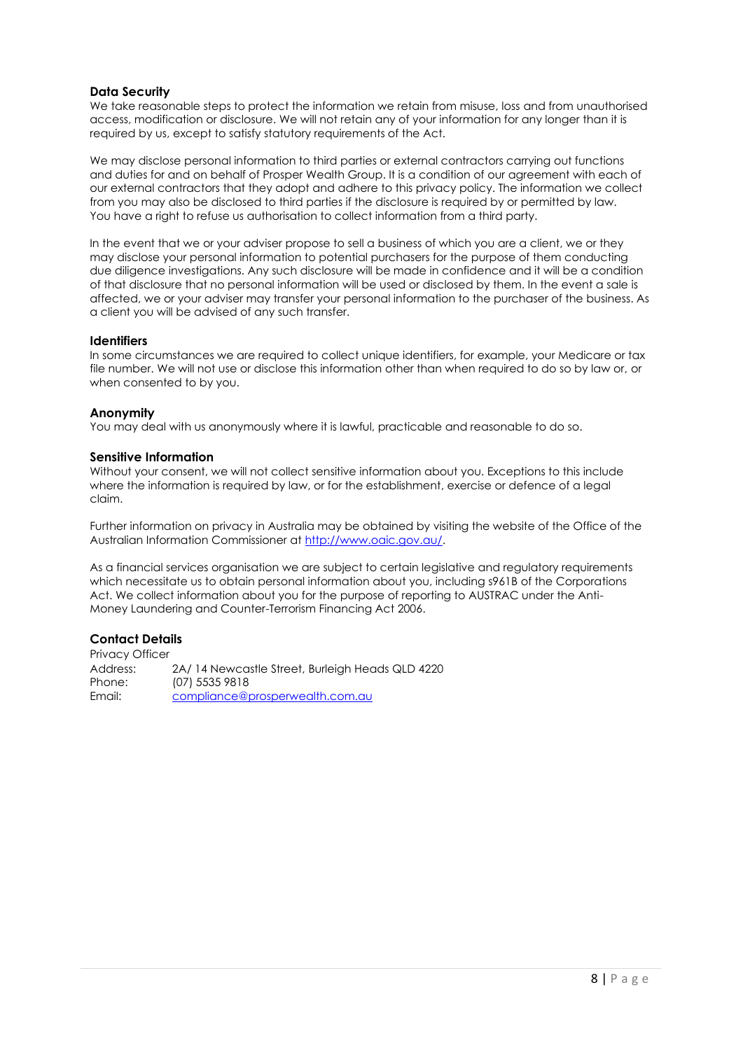## **Data Security**

We take reasonable steps to protect the information we retain from misuse, loss and from unauthorised access, modification or disclosure. We will not retain any of your information for any longer than it is required by us, except to satisfy statutory requirements of the Act.

We may disclose personal information to third parties or external contractors carrying out functions and duties for and on behalf of Prosper Wealth Group. It is a condition of our agreement with each of our external contractors that they adopt and adhere to this privacy policy. The information we collect from you may also be disclosed to third parties if the disclosure is required by or permitted by law. You have a right to refuse us authorisation to collect information from a third party.

In the event that we or your adviser propose to sell a business of which you are a client, we or they may disclose your personal information to potential purchasers for the purpose of them conducting due diligence investigations. Any such disclosure will be made in confidence and it will be a condition of that disclosure that no personal information will be used or disclosed by them. In the event a sale is affected, we or your adviser may transfer your personal information to the purchaser of the business. As a client you will be advised of any such transfer.

#### **Identifiers**

In some circumstances we are required to collect unique identifiers, for example, your Medicare or tax file number. We will not use or disclose this information other than when required to do so by law or, or when consented to by you.

#### **Anonymity**

You may deal with us anonymously where it is lawful, practicable and reasonable to do so.

#### **Sensitive Information**

Without your consent, we will not collect sensitive information about you. Exceptions to this include where the information is required by law, or for the establishment, exercise or defence of a legal claim.

Further information on privacy in Australia may be obtained by visiting the website of the Office of the Australian Information Commissioner at [http://www.oaic.gov.au/.](http://www.oaic.gov.au/)

As a financial services organisation we are subject to certain legislative and regulatory requirements which necessitate us to obtain personal information about you, including s961B of the Corporations Act. We collect information about you for the purpose of reporting to AUSTRAC under the Anti-Money Laundering and Counter-Terrorism Financing Act 2006.

# **Contact Details**

Privacy Officer Address: 2A/ 14 Newcastle Street, Burleigh Heads QLD 4220 Phone: (07) 5535 9818 Email: [compliance@prosperwealth.com.au](mailto:compliance@prosperwealth.com.au)